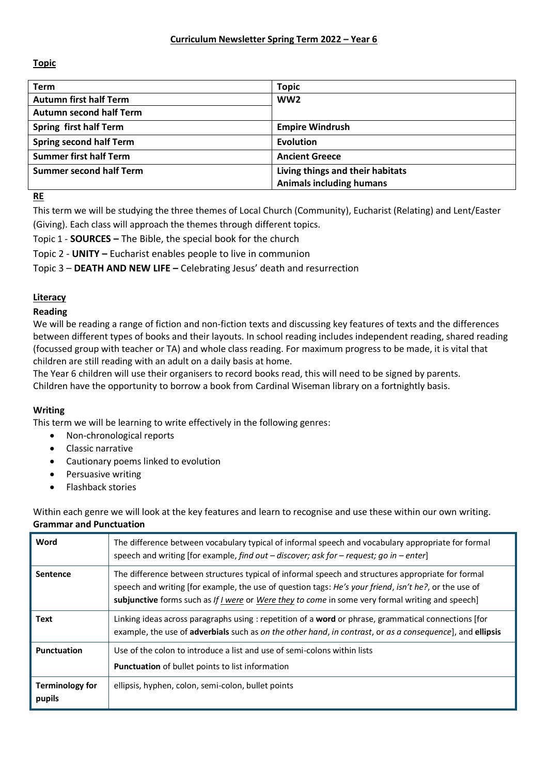# **Topic**

| <b>Term</b>                    | <b>Topic</b>                     |
|--------------------------------|----------------------------------|
| <b>Autumn first half Term</b>  | WW <sub>2</sub>                  |
| <b>Autumn second half Term</b> |                                  |
| <b>Spring first half Term</b>  | <b>Empire Windrush</b>           |
| <b>Spring second half Term</b> | <b>Evolution</b>                 |
| <b>Summer first half Term</b>  | <b>Ancient Greece</b>            |
| <b>Summer second half Term</b> | Living things and their habitats |
|                                | <b>Animals including humans</b>  |

**RE**

This term we will be studying the three themes of Local Church (Community), Eucharist (Relating) and Lent/Easter (Giving). Each class will approach the themes through different topics.

Topic 1 - **SOURCES –** The Bible, the special book for the church

Topic 2 - **UNITY –** Eucharist enables people to live in communion

Topic 3 – **DEATH AND NEW LIFE –** Celebrating Jesus' death and resurrection

# **Literacy**

# **Reading**

We will be reading a range of fiction and non-fiction texts and discussing key features of texts and the differences between different types of books and their layouts. In school reading includes independent reading, shared reading (focussed group with teacher or TA) and whole class reading. For maximum progress to be made, it is vital that children are still reading with an adult on a daily basis at home.

The Year 6 children will use their organisers to record books read, this will need to be signed by parents. Children have the opportunity to borrow a book from Cardinal Wiseman library on a fortnightly basis.

# **Writing**

This term we will be learning to write effectively in the following genres:

- Non-chronological reports
- Classic narrative
- Cautionary poems linked to evolution
- Persuasive writing
- Flashback stories

Within each genre we will look at the key features and learn to recognise and use these within our own writing. **Grammar and Punctuation**

| Word                             | The difference between vocabulary typical of informal speech and vocabulary appropriate for formal<br>speech and writing [for example, find out $-$ discover; ask for $-$ request; go in $-$ enter]                                                                                                             |
|----------------------------------|-----------------------------------------------------------------------------------------------------------------------------------------------------------------------------------------------------------------------------------------------------------------------------------------------------------------|
| <b>Sentence</b>                  | The difference between structures typical of informal speech and structures appropriate for formal<br>speech and writing [for example, the use of question tags: He's your friend, isn't he?, or the use of<br>subjunctive forms such as If I were or Were they to come in some very formal writing and speech] |
| Text                             | Linking ideas across paragraphs using : repetition of a <b>word</b> or phrase, grammatical connections [for<br>example, the use of adverbials such as on the other hand, in contrast, or as a consequence], and ellipsis                                                                                        |
| Punctuation                      | Use of the colon to introduce a list and use of semi-colons within lists<br><b>Punctuation</b> of bullet points to list information                                                                                                                                                                             |
| <b>Terminology for</b><br>pupils | ellipsis, hyphen, colon, semi-colon, bullet points                                                                                                                                                                                                                                                              |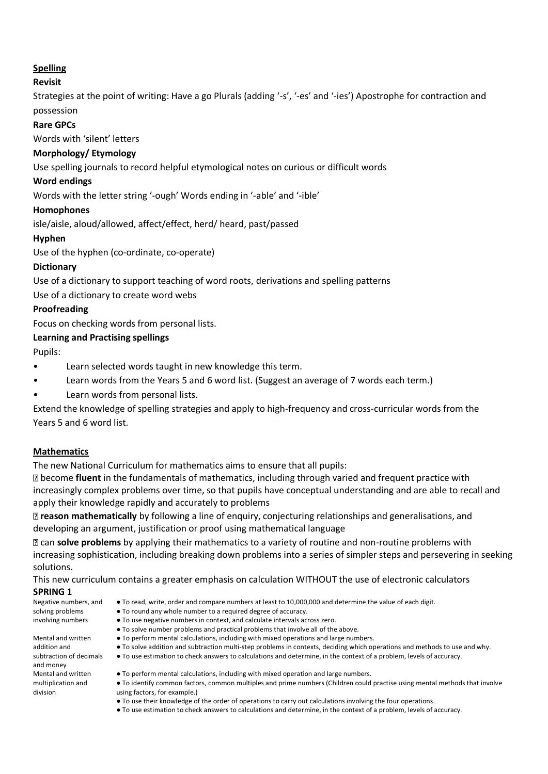# **Spelling**

# **Revisit**

Strategies at the point of writing: Have a go Plurals (adding '-s', '-es' and '-ies') Apostrophe for contraction and possession

## **Rare GPCs**

Words with 'silent' letters

# **Morphology/ Etymology**

Use spelling journals to record helpful etymological notes on curious or difficult words

#### **Word endings**

Words with the letter string '-ough' Words ending in '-able' and '-ible'

#### **Homophones**

isle/aisle, aloud/allowed, affect/effect, herd/ heard, past/passed

## **Hyphen**

Use of the hyphen (co-ordinate, co-operate)

#### **Dictionary**

Use of a dictionary to support teaching of word roots, derivations and spelling patterns

Use of a dictionary to create word webs

#### **Proofreading**

Focus on checking words from personal lists.

## **Learning and Practising spellings**

Pupils:

- Learn selected words taught in new knowledge this term.
- Learn words from the Years 5 and 6 word list. (Suggest an average of 7 words each term.)
- Learn words from personal lists.

Extend the knowledge of spelling strategies and apply to high-frequency and cross-curricular words from the Years 5 and 6 word list.

## **Mathematics**

The new National Curriculum for mathematics aims to ensure that all pupils:

become **fluent** in the fundamentals of mathematics, including through varied and frequent practice with increasingly complex problems over time, so that pupils have conceptual understanding and are able to recall and apply their knowledge rapidly and accurately to problems

**reason mathematically** by following a line of enquiry, conjecturing relationships and generalisations, and developing an argument, justification or proof using mathematical language

can **solve problems** by applying their mathematics to a variety of routine and non-routine problems with increasing sophistication, including breaking down problems into a series of simpler steps and persevering in seeking solutions.

This new curriculum contains a greater emphasis on calculation WITHOUT the use of electronic calculators **SPRING 1**

#### Negative numbers, and solving problems

involving numbers Mental and written

addition and subtraction of decimals and money Mental and written multiplication and division

- To read, write, order and compare numbers at least to 10,000,000 and determine the value of each digit.
- To round any whole number to a required degree of accuracy.
- To use negative numbers in context, and calculate intervals across zero.
- To solve number problems and practical problems that involve all of the above.
- To perform mental calculations, including with mixed operations and large numbers.
- To solve addition and subtraction multi-step problems in contexts, deciding which operations and methods to use and why.
- To use estimation to check answers to calculations and determine, in the context of a problem, levels of accuracy.
- To perform mental calculations, including with mixed operation and large numbers.
- To identify common factors, common multiples and prime numbers (Children could practise using mental methods that involve using factors, for example.)
- To use their knowledge of the order of operations to carry out calculations involving the four operations.
- To use estimation to check answers to calculations and determine, in the context of a problem, levels of accuracy.